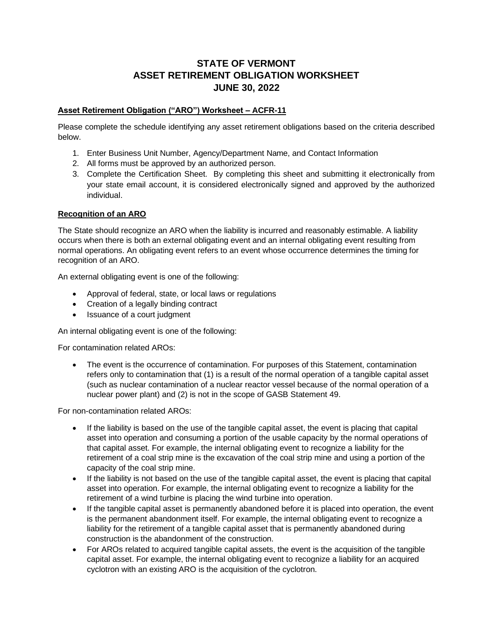# **STATE OF VERMONT ASSET RETIREMENT OBLIGATION WORKSHEET JUNE 30, 2022**

## **Asset Retirement Obligation ("ARO") Worksheet – ACFR-11**

Please complete the schedule identifying any asset retirement obligations based on the criteria described below.

- 1. Enter Business Unit Number, Agency/Department Name, and Contact Information
- 2. All forms must be approved by an authorized person.
- 3. Complete the Certification Sheet. By completing this sheet and submitting it electronically from your state email account, it is considered electronically signed and approved by the authorized individual.

#### **Recognition of an ARO**

The State should recognize an ARO when the liability is incurred and reasonably estimable. A liability occurs when there is both an external obligating event and an internal obligating event resulting from normal operations. An obligating event refers to an event whose occurrence determines the timing for recognition of an ARO.

An external obligating event is one of the following:

- Approval of federal, state, or local laws or regulations
- Creation of a legally binding contract
- Issuance of a court judgment

An internal obligating event is one of the following:

For contamination related AROs:

The event is the occurrence of contamination. For purposes of this Statement, contamination refers only to contamination that (1) is a result of the normal operation of a tangible capital asset (such as nuclear contamination of a nuclear reactor vessel because of the normal operation of a nuclear power plant) and (2) is not in the scope of GASB Statement 49.

For non-contamination related AROs:

- If the liability is based on the use of the tangible capital asset, the event is placing that capital asset into operation and consuming a portion of the usable capacity by the normal operations of that capital asset. For example, the internal obligating event to recognize a liability for the retirement of a coal strip mine is the excavation of the coal strip mine and using a portion of the capacity of the coal strip mine.
- If the liability is not based on the use of the tangible capital asset, the event is placing that capital asset into operation. For example, the internal obligating event to recognize a liability for the retirement of a wind turbine is placing the wind turbine into operation.
- If the tangible capital asset is permanently abandoned before it is placed into operation, the event is the permanent abandonment itself. For example, the internal obligating event to recognize a liability for the retirement of a tangible capital asset that is permanently abandoned during construction is the abandonment of the construction.
- For AROs related to acquired tangible capital assets, the event is the acquisition of the tangible capital asset. For example, the internal obligating event to recognize a liability for an acquired cyclotron with an existing ARO is the acquisition of the cyclotron.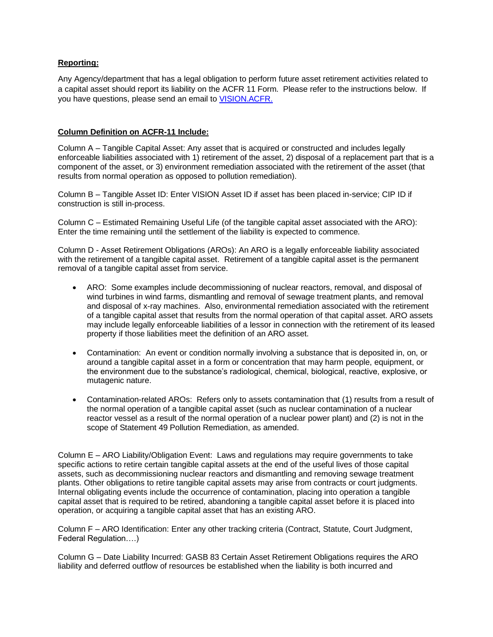### **Reporting:**

Any Agency/department that has a legal obligation to perform future asset retirement activities related to a capital asset should report its liability on the ACFR 11 Form. Please refer to the instructions below. If you have questions, please send an email to [VISION.ACFR.](mailto:VISION.ACFR@vermont.gov)

#### **Column Definition on ACFR-11 Include:**

Column A – Tangible Capital Asset: Any asset that is acquired or constructed and includes legally enforceable liabilities associated with 1) retirement of the asset, 2) disposal of a replacement part that is a component of the asset, or 3) environment remediation associated with the retirement of the asset (that results from normal operation as opposed to pollution remediation).

Column B – Tangible Asset ID: Enter VISION Asset ID if asset has been placed in-service; CIP ID if construction is still in-process.

Column C – Estimated Remaining Useful Life (of the tangible capital asset associated with the ARO): Enter the time remaining until the settlement of the liability is expected to commence.

Column D - Asset Retirement Obligations (AROs): An ARO is a legally enforceable liability associated with the retirement of a tangible capital asset. Retirement of a tangible capital asset is the permanent removal of a tangible capital asset from service.

- ARO: Some examples include decommissioning of nuclear reactors, removal, and disposal of wind turbines in wind farms, dismantling and removal of sewage treatment plants, and removal and disposal of x-ray machines. Also, environmental remediation associated with the retirement of a tangible capital asset that results from the normal operation of that capital asset. ARO assets may include legally enforceable liabilities of a lessor in connection with the retirement of its leased property if those liabilities meet the definition of an ARO asset.
- Contamination: An event or condition normally involving a substance that is deposited in, on, or around a tangible capital asset in a form or concentration that may harm people, equipment, or the environment due to the substance's radiological, chemical, biological, reactive, explosive, or mutagenic nature.
- Contamination-related AROs: Refers only to assets contamination that (1) results from a result of the normal operation of a tangible capital asset (such as nuclear contamination of a nuclear reactor vessel as a result of the normal operation of a nuclear power plant) and (2) is not in the scope of Statement 49 Pollution Remediation, as amended.

Column E – ARO Liability/Obligation Event: Laws and regulations may require governments to take specific actions to retire certain tangible capital assets at the end of the useful lives of those capital assets, such as decommissioning nuclear reactors and dismantling and removing sewage treatment plants. Other obligations to retire tangible capital assets may arise from contracts or court judgments. Internal obligating events include the occurrence of contamination, placing into operation a tangible capital asset that is required to be retired, abandoning a tangible capital asset before it is placed into operation, or acquiring a tangible capital asset that has an existing ARO.

Column F – ARO Identification: Enter any other tracking criteria (Contract, Statute, Court Judgment, Federal Regulation….)

Column G – Date Liability Incurred: GASB 83 Certain Asset Retirement Obligations requires the ARO liability and deferred outflow of resources be established when the liability is both incurred and